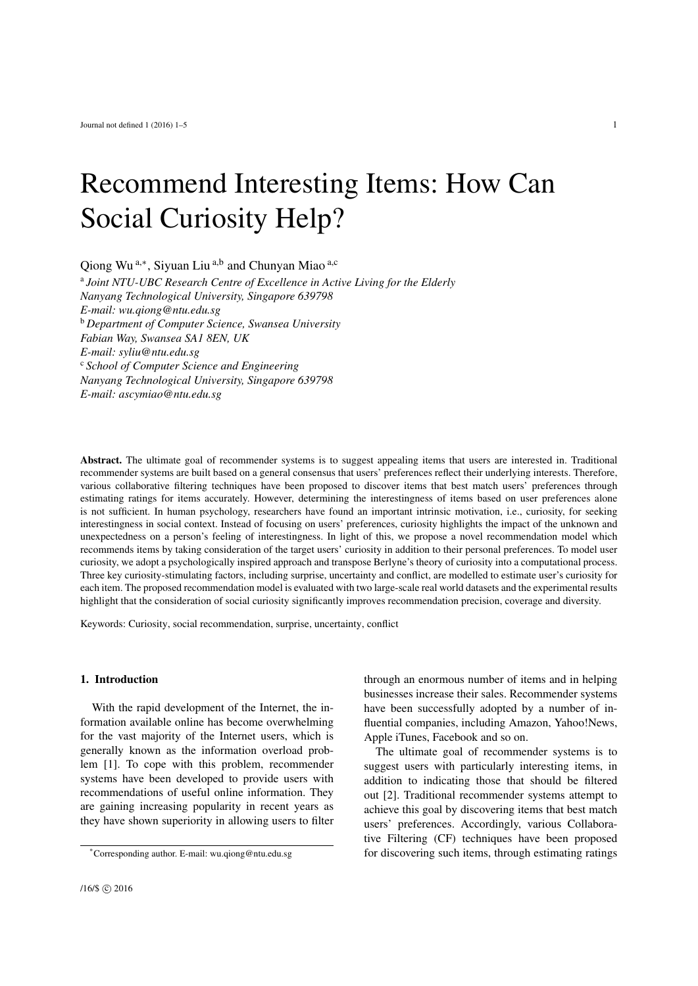# Recommend Interesting Items: How Can Social Curiosity Help?

Qiong Wu<sup>a,∗</sup>, Siyuan Liu<sup>a,b</sup> and Chunyan Miao<sup>a,c</sup>

<sup>a</sup> Joint NTU-UBC Research Centre of Excellence in Active Living for the Elderly *Nanyang Technological University, Singapore 639798 E-mail: wu.qiong@ntu.edu.sg* <sup>b</sup> *Department of Computer Science, Swansea University Fabian Way, Swansea SA1 8EN, UK E-mail: syliu@ntu.edu.sg* <sup>c</sup> *School of Computer Science and Engineering Nanyang Technological University, Singapore 639798 E-mail: ascymiao@ntu.edu.sg*

Abstract. The ultimate goal of recommender systems is to suggest appealing items that users are interested in. Traditional recommender systems are built based on a general consensus that users' preferences reflect their underlying interests. Therefore, various collaborative filtering techniques have been proposed to discover items that best match users' preferences through estimating ratings for items accurately. However, determining the interestingness of items based on user preferences alone is not sufficient. In human psychology, researchers have found an important intrinsic motivation, i.e., curiosity, for seeking interestingness in social context. Instead of focusing on users' preferences, curiosity highlights the impact of the unknown and unexpectedness on a person's feeling of interestingness. In light of this, we propose a novel recommendation model which recommends items by taking consideration of the target users' curiosity in addition to their personal preferences. To model user curiosity, we adopt a psychologically inspired approach and transpose Berlyne's theory of curiosity into a computational process. Three key curiosity-stimulating factors, including surprise, uncertainty and conflict, are modelled to estimate user's curiosity for each item. The proposed recommendation model is evaluated with two large-scale real world datasets and the experimental results highlight that the consideration of social curiosity significantly improves recommendation precision, coverage and diversity.

Keywords: Curiosity, social recommendation, surprise, uncertainty, conflict

#### 1. Introduction

With the rapid development of the Internet, the information available online has become overwhelming for the vast majority of the Internet users, which is generally known as the information overload problem [1]. To cope with this problem, recommender systems have been developed to provide users with recommendations of useful online information. They are gaining increasing popularity in recent years as they have shown superiority in allowing users to filter through an enormous number of items and in helping businesses increase their sales. Recommender systems have been successfully adopted by a number of influential companies, including Amazon, Yahoo!News, Apple iTunes, Facebook and so on.

The ultimate goal of recommender systems is to suggest users with particularly interesting items, in addition to indicating those that should be filtered out [2]. Traditional recommender systems attempt to achieve this goal by discovering items that best match users' preferences. Accordingly, various Collaborative Filtering (CF) techniques have been proposed for discovering such items, through estimating ratings

<sup>\*</sup>Corresponding author. E-mail: wu.qiong@ntu.edu.sg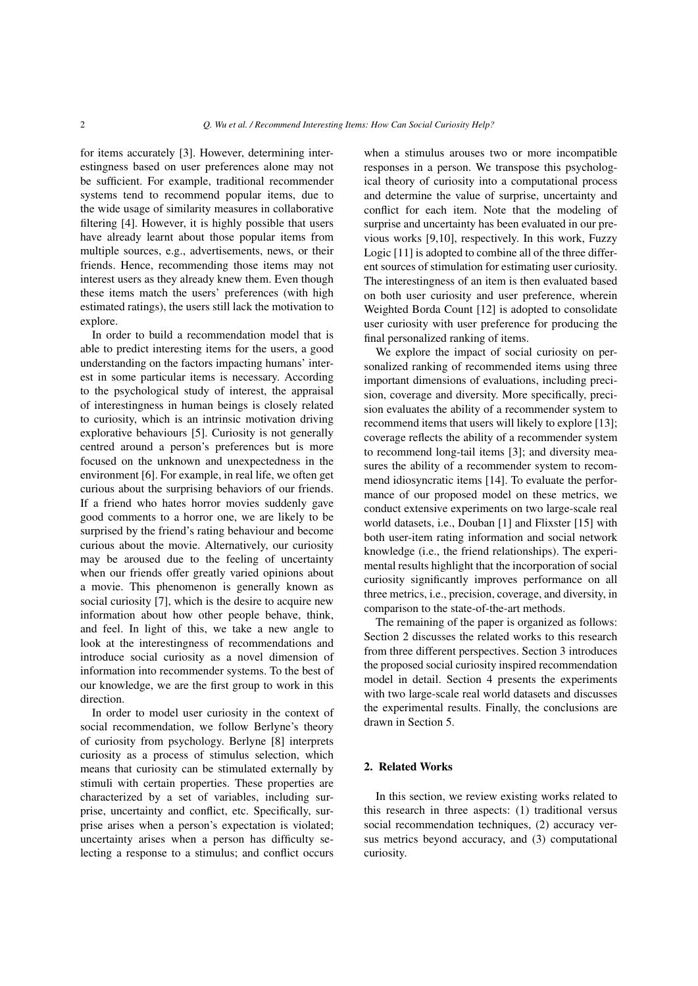for items accurately [3]. However, determining interestingness based on user preferences alone may not be sufficient. For example, traditional recommender systems tend to recommend popular items, due to the wide usage of similarity measures in collaborative filtering [4]. However, it is highly possible that users have already learnt about those popular items from multiple sources, e.g., advertisements, news, or their friends. Hence, recommending those items may not interest users as they already knew them. Even though these items match the users' preferences (with high estimated ratings), the users still lack the motivation to explore.

In order to build a recommendation model that is able to predict interesting items for the users, a good understanding on the factors impacting humans' interest in some particular items is necessary. According to the psychological study of interest, the appraisal of interestingness in human beings is closely related to curiosity, which is an intrinsic motivation driving explorative behaviours [5]. Curiosity is not generally centred around a person's preferences but is more focused on the unknown and unexpectedness in the environment [6]. For example, in real life, we often get curious about the surprising behaviors of our friends. If a friend who hates horror movies suddenly gave good comments to a horror one, we are likely to be surprised by the friend's rating behaviour and become curious about the movie. Alternatively, our curiosity may be aroused due to the feeling of uncertainty when our friends offer greatly varied opinions about a movie. This phenomenon is generally known as social curiosity [7], which is the desire to acquire new information about how other people behave, think, and feel. In light of this, we take a new angle to look at the interestingness of recommendations and introduce social curiosity as a novel dimension of information into recommender systems. To the best of our knowledge, we are the first group to work in this direction.

In order to model user curiosity in the context of social recommendation, we follow Berlyne's theory of curiosity from psychology. Berlyne [8] interprets curiosity as a process of stimulus selection, which means that curiosity can be stimulated externally by stimuli with certain properties. These properties are characterized by a set of variables, including surprise, uncertainty and conflict, etc. Specifically, surprise arises when a person's expectation is violated; uncertainty arises when a person has difficulty selecting a response to a stimulus; and conflict occurs

when a stimulus arouses two or more incompatible responses in a person. We transpose this psychological theory of curiosity into a computational process and determine the value of surprise, uncertainty and conflict for each item. Note that the modeling of surprise and uncertainty has been evaluated in our previous works [9,10], respectively. In this work, Fuzzy Logic [11] is adopted to combine all of the three different sources of stimulation for estimating user curiosity. The interestingness of an item is then evaluated based on both user curiosity and user preference, wherein Weighted Borda Count [12] is adopted to consolidate user curiosity with user preference for producing the final personalized ranking of items.

We explore the impact of social curiosity on personalized ranking of recommended items using three important dimensions of evaluations, including precision, coverage and diversity. More specifically, precision evaluates the ability of a recommender system to recommend items that users will likely to explore [13]; coverage reflects the ability of a recommender system to recommend long-tail items [3]; and diversity measures the ability of a recommender system to recommend idiosyncratic items [14]. To evaluate the performance of our proposed model on these metrics, we conduct extensive experiments on two large-scale real world datasets, i.e., Douban [1] and Flixster [15] with both user-item rating information and social network knowledge (i.e., the friend relationships). The experimental results highlight that the incorporation of social curiosity significantly improves performance on all three metrics, i.e., precision, coverage, and diversity, in comparison to the state-of-the-art methods.

The remaining of the paper is organized as follows: Section 2 discusses the related works to this research from three different perspectives. Section 3 introduces the proposed social curiosity inspired recommendation model in detail. Section 4 presents the experiments with two large-scale real world datasets and discusses the experimental results. Finally, the conclusions are drawn in Section 5.

# 2. Related Works

In this section, we review existing works related to this research in three aspects: (1) traditional versus social recommendation techniques, (2) accuracy versus metrics beyond accuracy, and (3) computational curiosity.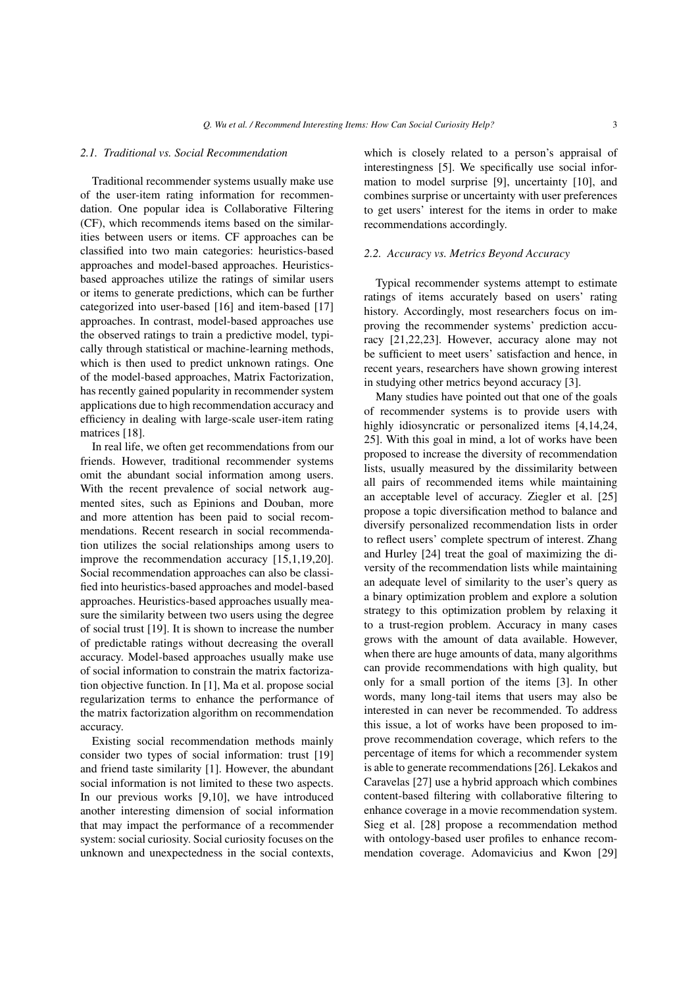#### *2.1. Traditional vs. Social Recommendation*

Traditional recommender systems usually make use of the user-item rating information for recommendation. One popular idea is Collaborative Filtering (CF), which recommends items based on the similarities between users or items. CF approaches can be classified into two main categories: heuristics-based approaches and model-based approaches. Heuristicsbased approaches utilize the ratings of similar users or items to generate predictions, which can be further categorized into user-based [16] and item-based [17] approaches. In contrast, model-based approaches use the observed ratings to train a predictive model, typically through statistical or machine-learning methods, which is then used to predict unknown ratings. One of the model-based approaches, Matrix Factorization, has recently gained popularity in recommender system applications due to high recommendation accuracy and efficiency in dealing with large-scale user-item rating matrices [18].

In real life, we often get recommendations from our friends. However, traditional recommender systems omit the abundant social information among users. With the recent prevalence of social network augmented sites, such as Epinions and Douban, more and more attention has been paid to social recommendations. Recent research in social recommendation utilizes the social relationships among users to improve the recommendation accuracy [15,1,19,20]. Social recommendation approaches can also be classified into heuristics-based approaches and model-based approaches. Heuristics-based approaches usually measure the similarity between two users using the degree of social trust [19]. It is shown to increase the number of predictable ratings without decreasing the overall accuracy. Model-based approaches usually make use of social information to constrain the matrix factorization objective function. In [1], Ma et al. propose social regularization terms to enhance the performance of the matrix factorization algorithm on recommendation accuracy.

Existing social recommendation methods mainly consider two types of social information: trust [19] and friend taste similarity [1]. However, the abundant social information is not limited to these two aspects. In our previous works [9,10], we have introduced another interesting dimension of social information that may impact the performance of a recommender system: social curiosity. Social curiosity focuses on the unknown and unexpectedness in the social contexts, which is closely related to a person's appraisal of interestingness [5]. We specifically use social information to model surprise [9], uncertainty [10], and combines surprise or uncertainty with user preferences to get users' interest for the items in order to make recommendations accordingly.

# *2.2. Accuracy vs. Metrics Beyond Accuracy*

Typical recommender systems attempt to estimate ratings of items accurately based on users' rating history. Accordingly, most researchers focus on improving the recommender systems' prediction accuracy [21,22,23]. However, accuracy alone may not be sufficient to meet users' satisfaction and hence, in recent years, researchers have shown growing interest in studying other metrics beyond accuracy [3].

Many studies have pointed out that one of the goals of recommender systems is to provide users with highly idiosyncratic or personalized items [4,14,24, 25]. With this goal in mind, a lot of works have been proposed to increase the diversity of recommendation lists, usually measured by the dissimilarity between all pairs of recommended items while maintaining an acceptable level of accuracy. Ziegler et al. [25] propose a topic diversification method to balance and diversify personalized recommendation lists in order to reflect users' complete spectrum of interest. Zhang and Hurley [24] treat the goal of maximizing the diversity of the recommendation lists while maintaining an adequate level of similarity to the user's query as a binary optimization problem and explore a solution strategy to this optimization problem by relaxing it to a trust-region problem. Accuracy in many cases grows with the amount of data available. However, when there are huge amounts of data, many algorithms can provide recommendations with high quality, but only for a small portion of the items [3]. In other words, many long-tail items that users may also be interested in can never be recommended. To address this issue, a lot of works have been proposed to improve recommendation coverage, which refers to the percentage of items for which a recommender system is able to generate recommendations [26]. Lekakos and Caravelas [27] use a hybrid approach which combines content-based filtering with collaborative filtering to enhance coverage in a movie recommendation system. Sieg et al. [28] propose a recommendation method with ontology-based user profiles to enhance recommendation coverage. Adomavicius and Kwon [29]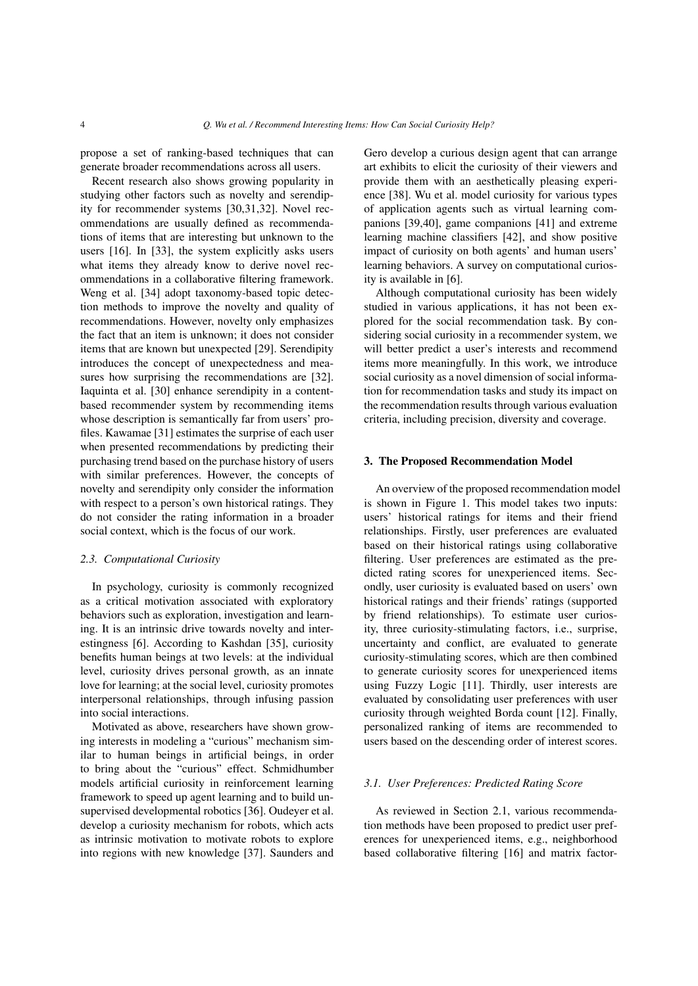propose a set of ranking-based techniques that can generate broader recommendations across all users.

Recent research also shows growing popularity in studying other factors such as novelty and serendipity for recommender systems [30,31,32]. Novel recommendations are usually defined as recommendations of items that are interesting but unknown to the users [16]. In [33], the system explicitly asks users what items they already know to derive novel recommendations in a collaborative filtering framework. Weng et al. [34] adopt taxonomy-based topic detection methods to improve the novelty and quality of recommendations. However, novelty only emphasizes the fact that an item is unknown; it does not consider items that are known but unexpected [29]. Serendipity introduces the concept of unexpectedness and measures how surprising the recommendations are [32]. Iaquinta et al. [30] enhance serendipity in a contentbased recommender system by recommending items whose description is semantically far from users' profiles. Kawamae [31] estimates the surprise of each user when presented recommendations by predicting their purchasing trend based on the purchase history of users with similar preferences. However, the concepts of novelty and serendipity only consider the information with respect to a person's own historical ratings. They do not consider the rating information in a broader social context, which is the focus of our work.

#### *2.3. Computational Curiosity*

In psychology, curiosity is commonly recognized as a critical motivation associated with exploratory behaviors such as exploration, investigation and learning. It is an intrinsic drive towards novelty and interestingness [6]. According to Kashdan [35], curiosity benefits human beings at two levels: at the individual level, curiosity drives personal growth, as an innate love for learning; at the social level, curiosity promotes interpersonal relationships, through infusing passion into social interactions.

Motivated as above, researchers have shown growing interests in modeling a "curious" mechanism similar to human beings in artificial beings, in order to bring about the "curious" effect. Schmidhumber models artificial curiosity in reinforcement learning framework to speed up agent learning and to build unsupervised developmental robotics [36]. Oudeyer et al. develop a curiosity mechanism for robots, which acts as intrinsic motivation to motivate robots to explore into regions with new knowledge [37]. Saunders and Gero develop a curious design agent that can arrange art exhibits to elicit the curiosity of their viewers and provide them with an aesthetically pleasing experience [38]. Wu et al. model curiosity for various types of application agents such as virtual learning companions [39,40], game companions [41] and extreme learning machine classifiers [42], and show positive impact of curiosity on both agents' and human users' learning behaviors. A survey on computational curiosity is available in [6].

Although computational curiosity has been widely studied in various applications, it has not been explored for the social recommendation task. By considering social curiosity in a recommender system, we will better predict a user's interests and recommend items more meaningfully. In this work, we introduce social curiosity as a novel dimension of social information for recommendation tasks and study its impact on the recommendation results through various evaluation criteria, including precision, diversity and coverage.

#### 3. The Proposed Recommendation Model

An overview of the proposed recommendation model is shown in Figure 1. This model takes two inputs: users' historical ratings for items and their friend relationships. Firstly, user preferences are evaluated based on their historical ratings using collaborative filtering. User preferences are estimated as the predicted rating scores for unexperienced items. Secondly, user curiosity is evaluated based on users' own historical ratings and their friends' ratings (supported by friend relationships). To estimate user curiosity, three curiosity-stimulating factors, i.e., surprise, uncertainty and conflict, are evaluated to generate curiosity-stimulating scores, which are then combined to generate curiosity scores for unexperienced items using Fuzzy Logic [11]. Thirdly, user interests are evaluated by consolidating user preferences with user curiosity through weighted Borda count [12]. Finally, personalized ranking of items are recommended to users based on the descending order of interest scores.

# *3.1. User Preferences: Predicted Rating Score*

As reviewed in Section 2.1, various recommendation methods have been proposed to predict user preferences for unexperienced items, e.g., neighborhood based collaborative filtering [16] and matrix factor-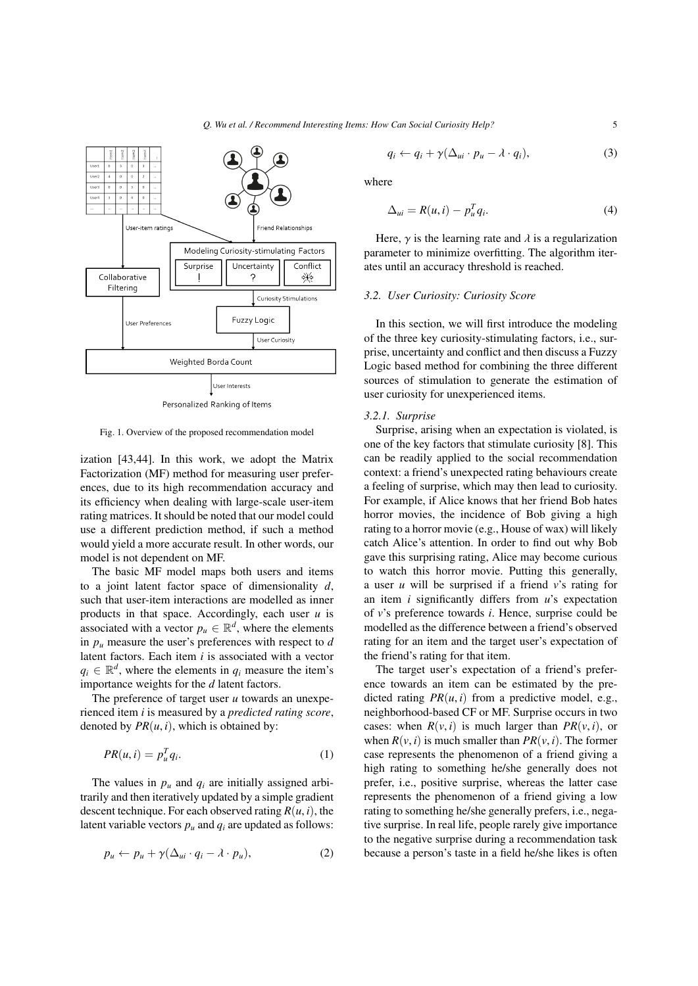

Personalized Ranking of Items

Fig. 1. Overview of the proposed recommendation model

ization [43,44]. In this work, we adopt the Matrix Factorization (MF) method for measuring user preferences, due to its high recommendation accuracy and its efficiency when dealing with large-scale user-item rating matrices. It should be noted that our model could use a different prediction method, if such a method would yield a more accurate result. In other words, our model is not dependent on MF.

The basic MF model maps both users and items to a joint latent factor space of dimensionality *d*, such that user-item interactions are modelled as inner products in that space. Accordingly, each user *u* is associated with a vector  $p_u \in \mathbb{R}^d$ , where the elements in  $p_u$  measure the user's preferences with respect to  $d$ latent factors. Each item *i* is associated with a vector  $q_i \in \mathbb{R}^d$ , where the elements in  $q_i$  measure the item's importance weights for the *d* latent factors.

The preference of target user *u* towards an unexperienced item *i* is measured by a *predicted rating score*, denoted by  $PR(u, i)$ , which is obtained by:

$$
PR(u, i) = p_u^T q_i. \tag{1}
$$

The values in  $p_u$  and  $q_i$  are initially assigned arbitrarily and then iteratively updated by a simple gradient descent technique. For each observed rating  $R(u, i)$ , the latent variable vectors  $p_u$  and  $q_i$  are updated as follows:

$$
p_u \leftarrow p_u + \gamma(\Delta_{ui} \cdot q_i - \lambda \cdot p_u), \tag{2}
$$

$$
q_i \leftarrow q_i + \gamma (\Delta_{ui} \cdot p_u - \lambda \cdot q_i), \tag{3}
$$

where

$$
\Delta_{ui} = R(u, i) - p_u^T q_i. \tag{4}
$$

Here,  $\gamma$  is the learning rate and  $\lambda$  is a regularization parameter to minimize overfitting. The algorithm iterates until an accuracy threshold is reached.

#### *3.2. User Curiosity: Curiosity Score*

In this section, we will first introduce the modeling of the three key curiosity-stimulating factors, i.e., surprise, uncertainty and conflict and then discuss a Fuzzy Logic based method for combining the three different sources of stimulation to generate the estimation of user curiosity for unexperienced items.

#### *3.2.1. Surprise*

Surprise, arising when an expectation is violated, is one of the key factors that stimulate curiosity [8]. This can be readily applied to the social recommendation context: a friend's unexpected rating behaviours create a feeling of surprise, which may then lead to curiosity. For example, if Alice knows that her friend Bob hates horror movies, the incidence of Bob giving a high rating to a horror movie (e.g., House of wax) will likely catch Alice's attention. In order to find out why Bob gave this surprising rating, Alice may become curious to watch this horror movie. Putting this generally, a user *u* will be surprised if a friend *v*'s rating for an item *i* significantly differs from *u*'s expectation of *v*'s preference towards *i*. Hence, surprise could be modelled as the difference between a friend's observed rating for an item and the target user's expectation of the friend's rating for that item.

The target user's expectation of a friend's preference towards an item can be estimated by the predicted rating  $PR(u, i)$  from a predictive model, e.g., neighborhood-based CF or MF. Surprise occurs in two cases: when  $R(v, i)$  is much larger than  $PR(v, i)$ , or when  $R(v, i)$  is much smaller than  $PR(v, i)$ . The former case represents the phenomenon of a friend giving a high rating to something he/she generally does not prefer, i.e., positive surprise, whereas the latter case represents the phenomenon of a friend giving a low rating to something he/she generally prefers, i.e., negative surprise. In real life, people rarely give importance to the negative surprise during a recommendation task because a person's taste in a field he/she likes is often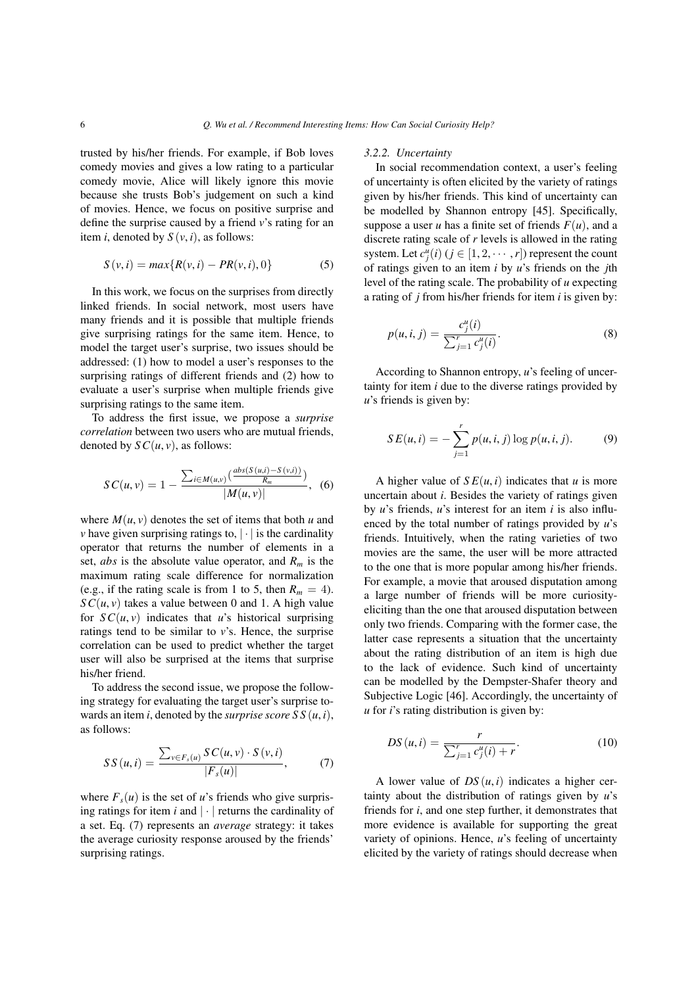trusted by his/her friends. For example, if Bob loves comedy movies and gives a low rating to a particular comedy movie, Alice will likely ignore this movie because she trusts Bob's judgement on such a kind of movies. Hence, we focus on positive surprise and define the surprise caused by a friend *v*'s rating for an item *i*, denoted by  $S(v, i)$ , as follows:

$$
S(v, i) = max\{R(v, i) - PR(v, i), 0\}
$$
 (5)

In this work, we focus on the surprises from directly linked friends. In social network, most users have many friends and it is possible that multiple friends give surprising ratings for the same item. Hence, to model the target user's surprise, two issues should be addressed: (1) how to model a user's responses to the surprising ratings of different friends and (2) how to evaluate a user's surprise when multiple friends give surprising ratings to the same item.

To address the first issue, we propose a *surprise correlation* between two users who are mutual friends, denoted by  $SC(u, v)$ , as follows:

$$
SC(u, v) = 1 - \frac{\sum_{i \in M(u, v)} (\frac{abs(S(u, i) - S(v, i))}{R_m})}{|M(u, v)|}, \quad (6)
$$

where  $M(u, v)$  denotes the set of items that both *u* and *v* have given surprising ratings to,  $|\cdot|$  is the cardinality operator that returns the number of elements in a set, *abs* is the absolute value operator, and  $R_m$  is the maximum rating scale difference for normalization (e.g., if the rating scale is from 1 to 5, then  $R_m = 4$ ).  $SC(u, v)$  takes a value between 0 and 1. A high value for  $SC(u, v)$  indicates that *u*'s historical surprising ratings tend to be similar to *v*'s. Hence, the surprise correlation can be used to predict whether the target user will also be surprised at the items that surprise his/her friend.

To address the second issue, we propose the following strategy for evaluating the target user's surprise towards an item *<sup>i</sup>*, denoted by the *surprise score S S* (*u*, *<sup>i</sup>*), as follows:

$$
SS(u, i) = \frac{\sum_{v \in F_s(u)} SC(u, v) \cdot S(v, i)}{|F_s(u)|}, \qquad (7)
$$

where  $F_s(u)$  is the set of *u*'s friends who give surprising ratings for item  $i$  and  $|\cdot|$  returns the cardinality of a set. Eq. (7) represents an *average* strategy: it takes the average curiosity response aroused by the friends' surprising ratings.

#### *3.2.2. Uncertainty*

In social recommendation context, a user's feeling of uncertainty is often elicited by the variety of ratings given by his/her friends. This kind of uncertainty can be modelled by Shannon entropy [45]. Specifically, suppose a user *u* has a finite set of friends  $F(u)$ , and a discrete rating scale of *r* levels is allowed in the rating system. Let  $c_j^u(i)$  ( $j \in [1, 2, \dots, r]$ ) represent the count<br>of ratings given to an item *i* by *u*'s friends on the *i*th of ratings given to an item *i* by *u*'s friends on the *j*th level of the rating scale. The probability of *u* expecting a rating of *j* from his/her friends for item *i* is given by:

$$
p(u, i, j) = \frac{c_j^u(i)}{\sum_{j=1}^r c_j^u(i)}.
$$
\n(8)

According to Shannon entropy, *u*'s feeling of uncertainty for item *i* due to the diverse ratings provided by *u*'s friends is given by:

$$
SE(u, i) = -\sum_{j=1}^{r} p(u, i, j) \log p(u, i, j).
$$
 (9)

A higher value of  $SE(u, i)$  indicates that *u* is more uncertain about *i*. Besides the variety of ratings given by *u*'s friends, *u*'s interest for an item *i* is also influenced by the total number of ratings provided by *u*'s friends. Intuitively, when the rating varieties of two movies are the same, the user will be more attracted to the one that is more popular among his/her friends. For example, a movie that aroused disputation among a large number of friends will be more curiosityeliciting than the one that aroused disputation between only two friends. Comparing with the former case, the latter case represents a situation that the uncertainty about the rating distribution of an item is high due to the lack of evidence. Such kind of uncertainty can be modelled by the Dempster-Shafer theory and Subjective Logic [46]. Accordingly, the uncertainty of *u* for *i*'s rating distribution is given by:

$$
DS(u, i) = \frac{r}{\sum_{j=1}^{r} c_j^u(i) + r}.
$$
 (10)

A lower value of  $DS(u, i)$  indicates a higher certainty about the distribution of ratings given by *u*'s friends for *i*, and one step further, it demonstrates that more evidence is available for supporting the great variety of opinions. Hence, *u*'s feeling of uncertainty elicited by the variety of ratings should decrease when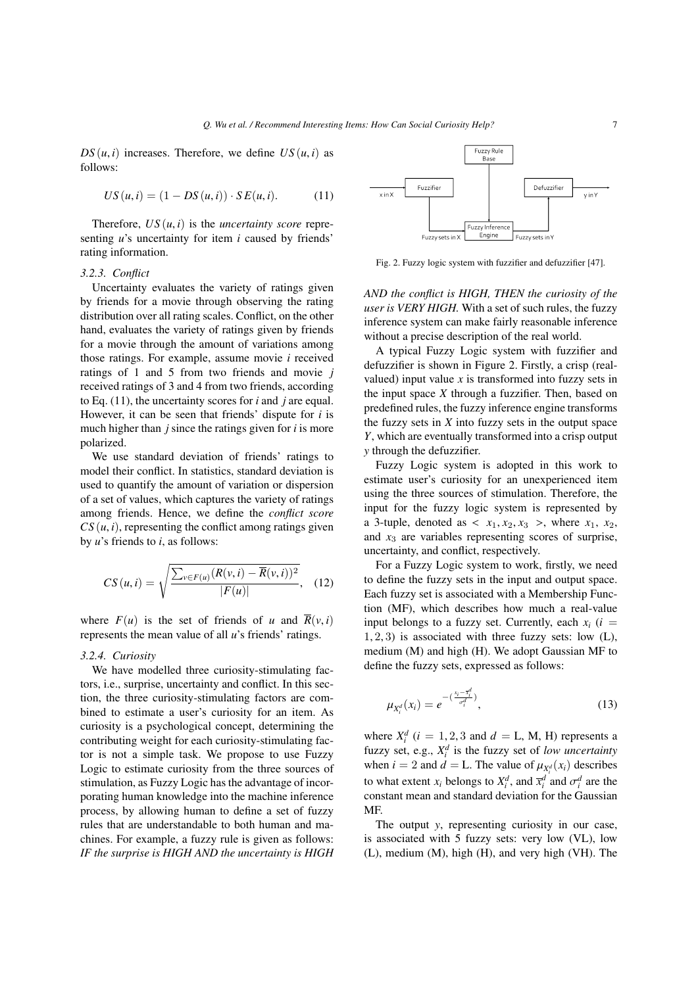$DS(u, i)$  increases. Therefore, we define  $US(u, i)$  as follows:

$$
US(u, i) = (1 - DS(u, i)) \cdot SE(u, i).
$$
 (11)

Therefore,  $US(u, i)$  is the *uncertainty score* representing *u*'s uncertainty for item *i* caused by friends' rating information.

# *3.2.3. Conflict*

Uncertainty evaluates the variety of ratings given by friends for a movie through observing the rating distribution over all rating scales. Conflict, on the other hand, evaluates the variety of ratings given by friends for a movie through the amount of variations among those ratings. For example, assume movie *i* received ratings of 1 and 5 from two friends and movie *j* received ratings of 3 and 4 from two friends, according to Eq. (11), the uncertainty scores for *i* and *j* are equal. However, it can be seen that friends' dispute for *i* is much higher than *j* since the ratings given for *i* is more polarized.

We use standard deviation of friends' ratings to model their conflict. In statistics, standard deviation is used to quantify the amount of variation or dispersion of a set of values, which captures the variety of ratings among friends. Hence, we define the *conflict score*  $CS(u, i)$ , representing the conflict among ratings given by *u*'s friends to *i*, as follows:

$$
CS(u,i) = \sqrt{\frac{\sum_{v \in F(u)} (R(v,i) - \overline{R}(v,i))^2}{|F(u)|}}, \quad (12)
$$

where  $F(u)$  is the set of friends of *u* and  $\overline{R}(v, i)$ represents the mean value of all *u*'s friends' ratings.

#### *3.2.4. Curiosity*

We have modelled three curiosity-stimulating factors, i.e., surprise, uncertainty and conflict. In this section, the three curiosity-stimulating factors are combined to estimate a user's curiosity for an item. As curiosity is a psychological concept, determining the contributing weight for each curiosity-stimulating factor is not a simple task. We propose to use Fuzzy Logic to estimate curiosity from the three sources of stimulation, as Fuzzy Logic has the advantage of incorporating human knowledge into the machine inference process, by allowing human to define a set of fuzzy rules that are understandable to both human and machines. For example, a fuzzy rule is given as follows: *IF the surprise is HIGH AND the uncertainty is HIGH*



Fig. 2. Fuzzy logic system with fuzzifier and defuzzifier [47].

*AND the conflict is HIGH, THEN the curiosity of the user is VERY HIGH.* With a set of such rules, the fuzzy inference system can make fairly reasonable inference without a precise description of the real world.

A typical Fuzzy Logic system with fuzzifier and defuzzifier is shown in Figure 2. Firstly, a crisp (realvalued) input value *x* is transformed into fuzzy sets in the input space *X* through a fuzzifier. Then, based on predefined rules, the fuzzy inference engine transforms the fuzzy sets in  $X$  into fuzzy sets in the output space *Y*, which are eventually transformed into a crisp output *y* through the defuzzifier.

Fuzzy Logic system is adopted in this work to estimate user's curiosity for an unexperienced item using the three sources of stimulation. Therefore, the input for the fuzzy logic system is represented by a 3-tuple, denoted as  $\langle x_1, x_2, x_3 \rangle$ , where  $x_1, x_2, x_3$ and *x*<sup>3</sup> are variables representing scores of surprise, uncertainty, and conflict, respectively.

For a Fuzzy Logic system to work, firstly, we need to define the fuzzy sets in the input and output space. Each fuzzy set is associated with a Membership Function (MF), which describes how much a real-value input belongs to a fuzzy set. Currently, each  $x_i$  ( $i =$ <sup>1</sup>, <sup>2</sup>, <sup>3</sup>) is associated with three fuzzy sets: low (L), medium (M) and high (H). We adopt Gaussian MF to define the fuzzy sets, expressed as follows:

$$
\mu_{X_i^d}(x_i) = e^{-\left(\frac{x_i - \bar{x}_i^d}{\sigma_i^d}\right)},\tag{13}
$$

where  $X_i^d$  (*i* = 1, 2, 3 and *d* = L, M, H) represents a<br>fuzzy set e.g.  $X^d$  is the fuzzy set of low uncertainty fuzzy set, e.g.,  $X_i^d$  is the fuzzy set of *low uncertainty* when  $i = 2$  and  $d = L$ . The value of  $\mu_{X_i^d}(x_i)$  describes to what extent  $x_i$  belongs to  $X_i^d$ , and  $\overline{x}_i^d$  and  $\sigma_i^d$  are the constant mean and standard deviation for the Gaussian constant mean and standard deviation for the Gaussian MF.

The output *y*, representing curiosity in our case, is associated with 5 fuzzy sets: very low (VL), low (L), medium (M), high (H), and very high (VH). The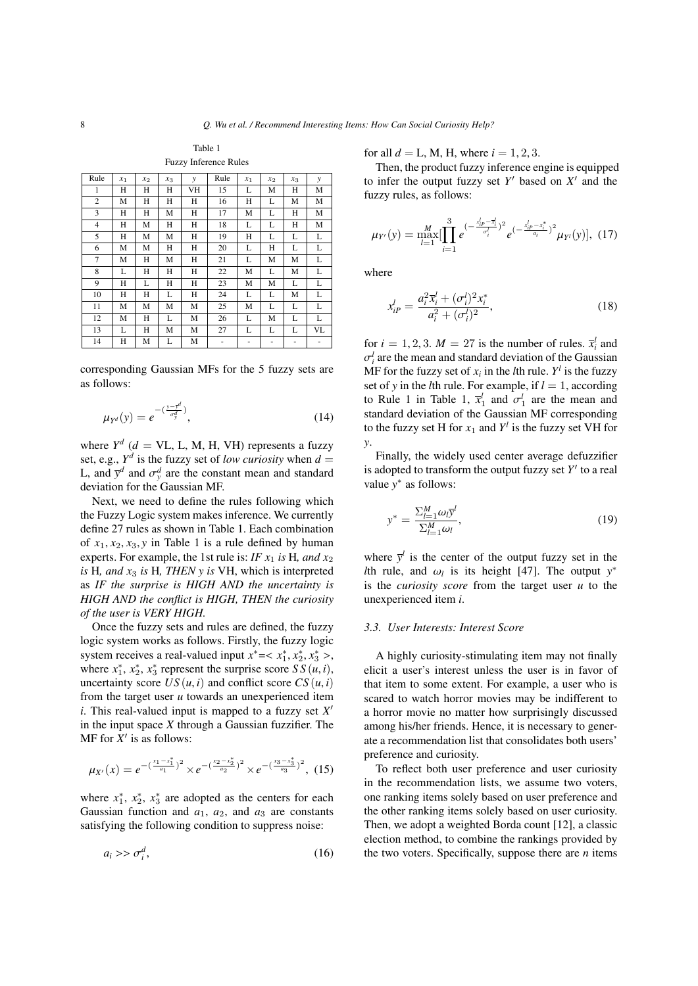Table 1 Fuzzy Inference Rules

| Rule           | $x_1$ | $x_2$ | $x_3$ | y  | Rule | $x_1$ | $x_2$ | $x_3$ | y  |
|----------------|-------|-------|-------|----|------|-------|-------|-------|----|
| 1              | Н     | Н     | Н     | VH | 15   | L     | M     | Н     | М  |
| $\overline{c}$ | M     | H     | H     | Н  | 16   | H     | L     | M     | M  |
| 3              | Н     | H     | M     | H  | 17   | M     | L     | H     | М  |
| 4              | Н     | М     | Н     | H  | 18   | L     | L     | Н     | М  |
| 5              | Н     | M     | М     | Н  | 19   | Н     | L     | L     | L  |
| 6              | M     | М     | H     | H  | 20   | L     | Н     | L     | L  |
| 7              | М     | H     | M     | Н  | 21   | L     | M     | M     | L  |
| 8              | L     | H     | H     | H  | 22   | M     | L     | M     | L  |
| 9              | Н     | L     | H     | H  | 23   | M     | M     | L     | L  |
| 10             | Н     | H     | L     | Н  | 24   | L     | L     | M     | L  |
| 11             | M     | М     | M     | M  | 25   | M     | L     | L     | L  |
| 12             | М     | Н     | L     | М  | 26   | L     | M     | L     | L  |
| 13             | L     | H     | М     | M  | 27   | L     | L     | L     | VL |
| 14             | Н     | M     | L     | M  | ٠    | ٠     | ٠     | ٠     | ٠  |

corresponding Gaussian MFs for the 5 fuzzy sets are as follows:

$$
\mu_{Y^d}(y) = e^{-\left(\frac{y-\overline{y}^d}{\sigma_y^d}\right)},\tag{14}
$$

where  $Y^d$  ( $d = \text{VL}$ , L, M, H, VH) represents a fuzzy set, e.g.,  $Y^d$  is the fuzzy set of *low curiosity* when  $d =$ L, and  $\overline{y}^d$  and  $\sigma_y^d$  are the constant mean and standard deviation for the Gaussian MF deviation for the Gaussian MF.

Next, we need to define the rules following which the Fuzzy Logic system makes inference. We currently define 27 rules as shown in Table 1. Each combination of  $x_1, x_2, x_3, y$  in Table 1 is a rule defined by human experts. For example, the 1st rule is: *IF*  $x_1$  *is* H, and  $x_2$ *is* H*, and x*<sup>3</sup> *is* H*, THEN y is* VH, which is interpreted as *IF the surprise is HIGH AND the uncertainty is HIGH AND the conflict is HIGH, THEN the curiosity of the user is VERY HIGH.*

Once the fuzzy sets and rules are defined, the fuzzy logic system works as follows. Firstly, the fuzzy logic system receives a real-valued input  $x^* = \langle x_1^*, x_2^*, x_3^* \rangle$ ,<br>where  $x^* \leq x^*$  represent the surprise score  $S(S(u, i))$ where  $x_1^*, x_2^*, x_3^*$  represent the surprise score  $SS(u, i)$ ,<br>uncertainty score  $US(u, i)$  and conflict score  $CS(u, i)$ uncertainty score  $US(u, i)$  and conflict score  $CS(u, i)$ from the target user *u* towards an unexperienced item  $i$ . This real-valued input is mapped to a fuzzy set  $X'$ in the input space *X* through a Gaussian fuzzifier. The MF for  $X'$  is as follows:

$$
\mu_{X'}(x) = e^{-\left(\frac{x_1 - x_1^*}{a_1}\right)^2} \times e^{-\left(\frac{x_2 - x_2^*}{a_2}\right)^2} \times e^{-\left(\frac{x_3 - x_3^*}{a_3}\right)^2},
$$
 (15)

where  $x_1^*$ ,  $x_2^*$ ,  $x_3^*$  are adopted as the centers for each Gaussian function and  $a_1$ ,  $a_2$ , and  $a_3$  are constants satisfying the following condition to suppress noise:

$$
a_i \gg \sigma_i^d,\tag{16}
$$

for all  $d = L$ , M, H, where  $i = 1, 2, 3$ .

Then, the product fuzzy inference engine is equipped to infer the output fuzzy set  $Y'$  based on  $X'$  and the fuzzy rules, as follows:

$$
\mu_{Y'}(y) = \max_{l=1}^M \left[ \prod_{i=1}^3 e^{(-\frac{x_{ip}^l - \bar{x}_i^l}{\sigma_i^l})^2} e^{(-\frac{x_{ip}^l - x_i^*}{a_i})^2} \mu_{Y^l}(y) \right], (17)
$$

where

$$
x_{iP}^l = \frac{a_i^2 \overline{x}_i^l + (\sigma_i^l)^2 x_i^*}{a_i^2 + (\sigma_i^l)^2},
$$
\n(18)

for  $i = 1, 2, 3$ .  $M = 27$  is the number of rules.  $\overline{x}_i^j$  and  $\overline{x}_i^j$  are the mean and standard deviation of the Gaussian  $\overline{MF}$  for the fuzzy set of  $x_i$  in the *l*th rule.  $Y^l$  is the fuzzy  $\mathbf{I}_i^l$  are the mean and standard deviation of the Gaussian set of *y* in the *l*th rule. For example, if  $l = 1$ , according to Rule 1 in Table 1,  $\bar{x}_1^l$  and  $\sigma_1^l$  are the mean and standard deviation of the Gaussian ME corresponding standard deviation of the Gaussian MF corresponding to the fuzzy set H for  $x_1$  and  $Y^l$  is the fuzzy set VH for *y*.

Finally, the widely used center average defuzzifier is adopted to transform the output fuzzy set  $Y'$  to a real value *y* ∗ as follows:

$$
y^* = \frac{\sum_{l=1}^{M} \omega_l \bar{y}^l}{\sum_{l=1}^{M} \omega_l},
$$
\n(19)

where  $\bar{y}^l$  is the center of the output fuzzy set in the *l*th rule, and  $\omega_l$  is its height [47]. The output *y*<sup>\*</sup><br>is the *curiosity score* from the target user *u* to the is the *curiosity score* from the target user *u* to the unexperienced item *i*.

# *3.3. User Interests: Interest Score*

A highly curiosity-stimulating item may not finally elicit a user's interest unless the user is in favor of that item to some extent. For example, a user who is scared to watch horror movies may be indifferent to a horror movie no matter how surprisingly discussed among his/her friends. Hence, it is necessary to generate a recommendation list that consolidates both users' preference and curiosity.

To reflect both user preference and user curiosity in the recommendation lists, we assume two voters, one ranking items solely based on user preference and the other ranking items solely based on user curiosity. Then, we adopt a weighted Borda count [12], a classic election method, to combine the rankings provided by the two voters. Specifically, suppose there are *n* items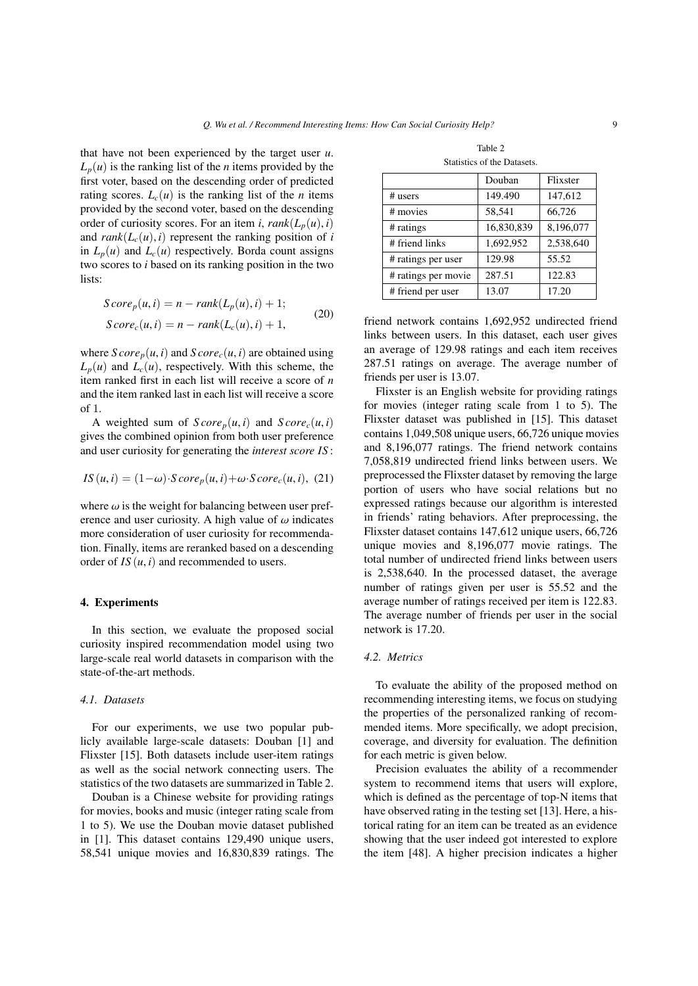that have not been experienced by the target user *u*.  $L_p(u)$  is the ranking list of the *n* items provided by the first voter, based on the descending order of predicted rating scores.  $L_c(u)$  is the ranking list of the *n* items provided by the second voter, based on the descending order of curiosity scores. For an item *i*,  $rank(L_p(u), i)$ and  $rank(L_c(u), i)$  represent the ranking position of *i* in  $L_p(u)$  and  $L_c(u)$  respectively. Borda count assigns two scores to *i* based on its ranking position in the two lists:

$$
Score_p(u, i) = n - rank(L_p(u), i) + 1;
$$
  
\n
$$
Score_c(u, i) = n - rank(L_c(u), i) + 1,
$$
\n(20)

where  $Score_p(u, i)$  and  $Score_c(u, i)$  are obtained using  $L_p(u)$  and  $L_c(u)$ , respectively. With this scheme, the item ranked first in each list will receive a score of *n* and the item ranked last in each list will receive a score  $\alpha$ f 1.

A weighted sum of  $Score_p(u, i)$  and  $Score_c(u, i)$ gives the combined opinion from both user preference and user curiosity for generating the *interest score IS* :

$$
IS(u, i) = (1 - \omega) \cdot Score_p(u, i) + \omega \cdot Score_c(u, i), (21)
$$

where  $\omega$  is the weight for balancing between user preference and user curiosity. A high value of  $\omega$  indicates more consideration of user curiosity for recommendation. Finally, items are reranked based on a descending order of  $IS(u, i)$  and recommended to users.

#### 4. Experiments

In this section, we evaluate the proposed social curiosity inspired recommendation model using two large-scale real world datasets in comparison with the state-of-the-art methods.

# *4.1. Datasets*

For our experiments, we use two popular publicly available large-scale datasets: Douban [1] and Flixster [15]. Both datasets include user-item ratings as well as the social network connecting users. The statistics of the two datasets are summarized in Table 2.

Douban is a Chinese website for providing ratings for movies, books and music (integer rating scale from 1 to 5). We use the Douban movie dataset published in [1]. This dataset contains 129,490 unique users, 58,541 unique movies and 16,830,839 ratings. The

| Table 2                     |
|-----------------------------|
| Statistics of the Datasets. |

|                     | Douban     | Flixster  |
|---------------------|------------|-----------|
| $#$ users           | 149.490    | 147,612   |
| # movies            | 58,541     | 66,726    |
| # ratings           | 16,830,839 | 8,196,077 |
| # friend links      | 1,692,952  | 2,538,640 |
| # ratings per user  | 129.98     | 55.52     |
| # ratings per movie | 287.51     | 122.83    |
| # friend per user   | 13.07      | 17.20     |

friend network contains 1,692,952 undirected friend links between users. In this dataset, each user gives an average of 129.98 ratings and each item receives 287.51 ratings on average. The average number of friends per user is 13.07.

Flixster is an English website for providing ratings for movies (integer rating scale from 1 to 5). The Flixster dataset was published in [15]. This dataset contains 1,049,508 unique users, 66,726 unique movies and 8,196,077 ratings. The friend network contains 7,058,819 undirected friend links between users. We preprocessed the Flixster dataset by removing the large portion of users who have social relations but no expressed ratings because our algorithm is interested in friends' rating behaviors. After preprocessing, the Flixster dataset contains 147,612 unique users, 66,726 unique movies and 8,196,077 movie ratings. The total number of undirected friend links between users is 2,538,640. In the processed dataset, the average number of ratings given per user is 55.52 and the average number of ratings received per item is 122.83. The average number of friends per user in the social network is 17.20.

#### *4.2. Metrics*

To evaluate the ability of the proposed method on recommending interesting items, we focus on studying the properties of the personalized ranking of recommended items. More specifically, we adopt precision, coverage, and diversity for evaluation. The definition for each metric is given below.

Precision evaluates the ability of a recommender system to recommend items that users will explore, which is defined as the percentage of top-N items that have observed rating in the testing set [13]. Here, a historical rating for an item can be treated as an evidence showing that the user indeed got interested to explore the item [48]. A higher precision indicates a higher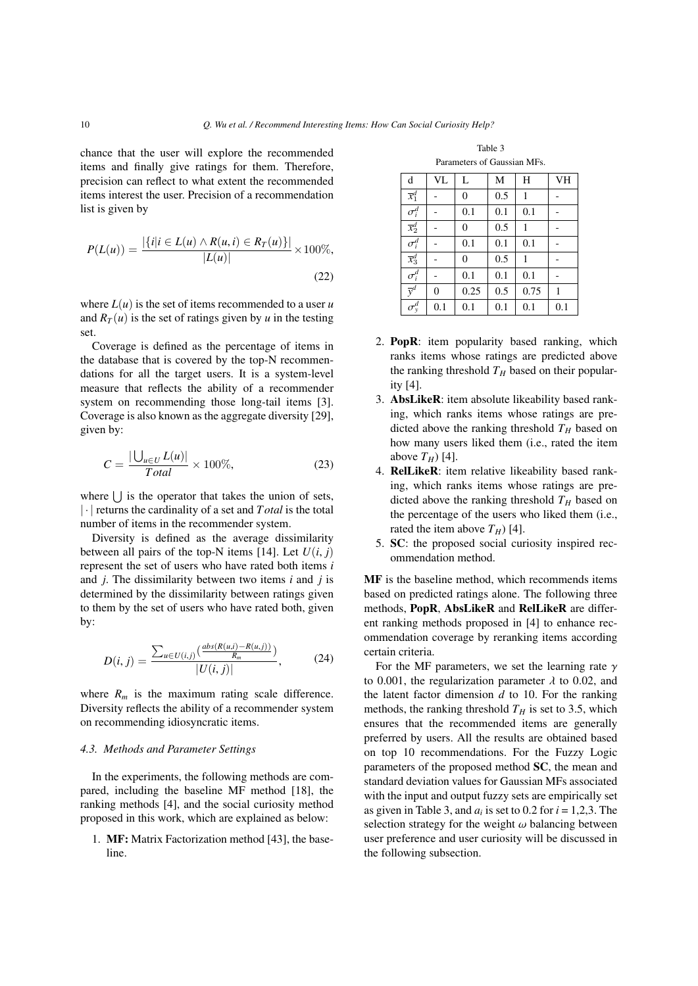chance that the user will explore the recommended items and finally give ratings for them. Therefore, precision can reflect to what extent the recommended items interest the user. Precision of a recommendation list is given by

$$
P(L(u)) = \frac{|\{i|i \in L(u) \land R(u,i) \in R_T(u)\}|}{|L(u)|} \times 100\%,
$$
\n(22)

where  $L(u)$  is the set of items recommended to a user  $u$ and  $R_T(u)$  is the set of ratings given by *u* in the testing set.

Coverage is defined as the percentage of items in the database that is covered by the top-N recommendations for all the target users. It is a system-level measure that reflects the ability of a recommender system on recommending those long-tail items [3]. Coverage is also known as the aggregate diversity [29], given by:

$$
C = \frac{|\bigcup_{u \in U} L(u)|}{Total} \times 100\%,\tag{23}
$$

where  $\bigcup$  is the operator that takes the union of sets, | · | returns the cardinality of a set and *T otal* is the total number of items in the recommender system.

Diversity is defined as the average dissimilarity between all pairs of the top-N items [14]. Let  $U(i, j)$ represent the set of users who have rated both items *i* and *j*. The dissimilarity between two items *i* and *j* is determined by the dissimilarity between ratings given to them by the set of users who have rated both, given by:

$$
D(i, j) = \frac{\sum_{u \in U(i,j)} (\frac{abs(R(u,i) - R(u,j))}{R_m})}{|U(i, j)|},
$$
 (24)

where  $R_m$  is the maximum rating scale difference. Diversity reflects the ability of a recommender system on recommending idiosyncratic items.

# *4.3. Methods and Parameter Settings*

In the experiments, the following methods are compared, including the baseline MF method [18], the ranking methods [4], and the social curiosity method proposed in this work, which are explained as below:

1. MF: Matrix Factorization method [43], the baseline.

Table 3 Parameters of Gaussian MFs.

| d                       | VL             | L              | M   | H            | <b>VH</b> |  |  |
|-------------------------|----------------|----------------|-----|--------------|-----------|--|--|
| $\overline{x}_1^d$      |                | $\overline{0}$ | 0.5 | 1            |           |  |  |
| $\overline{\sigma_i^d}$ |                | 0.1            | 0.1 | 0.1          |           |  |  |
| $\overline{x}^d_2$      |                | $\theta$       | 0.5 | 1            |           |  |  |
| $\overline{\sigma_i^d}$ |                | 0.1            | 0.1 | 0.1          |           |  |  |
| $\overline{x}_3^d$      |                | $\overline{0}$ | 0.5 | $\mathbf{1}$ |           |  |  |
| $\overline{\sigma_i^d}$ |                | 0.1            | 0.1 | 0.1          |           |  |  |
| $\overline{y}^d$        | $\overline{0}$ | 0.25           | 0.5 | 0.75         | 1         |  |  |
| $\sigma_{y}^{d}$        | 0.1            | 0.1            | 0.1 | 0.1          | 0.1       |  |  |
|                         |                |                |     |              |           |  |  |

- 2. PopR: item popularity based ranking, which ranks items whose ratings are predicted above the ranking threshold  $T_H$  based on their popularity [4].
- 3. AbsLikeR: item absolute likeability based ranking, which ranks items whose ratings are predicted above the ranking threshold  $T_H$  based on how many users liked them (i.e., rated the item above  $T_H$ ) [4].
- 4. RelLikeR: item relative likeability based ranking, which ranks items whose ratings are predicted above the ranking threshold  $T_H$  based on the percentage of the users who liked them (i.e., rated the item above  $T_H$ ) [4].
- 5. SC: the proposed social curiosity inspired recommendation method.

MF is the baseline method, which recommends items based on predicted ratings alone. The following three methods, PopR, AbsLikeR and RelLikeR are different ranking methods proposed in [4] to enhance recommendation coverage by reranking items according certain criteria.

For the MF parameters, we set the learning rate  $\gamma$ to 0.001, the regularization parameter  $\lambda$  to 0.02, and the latent factor dimension *d* to 10. For the ranking methods, the ranking threshold  $T_H$  is set to 3.5, which ensures that the recommended items are generally preferred by users. All the results are obtained based on top 10 recommendations. For the Fuzzy Logic parameters of the proposed method SC, the mean and standard deviation values for Gaussian MFs associated with the input and output fuzzy sets are empirically set as given in Table 3, and  $a_i$  is set to 0.2 for  $i = 1, 2, 3$ . The selection strategy for the weight  $\omega$  balancing between user preference and user curiosity will be discussed in the following subsection.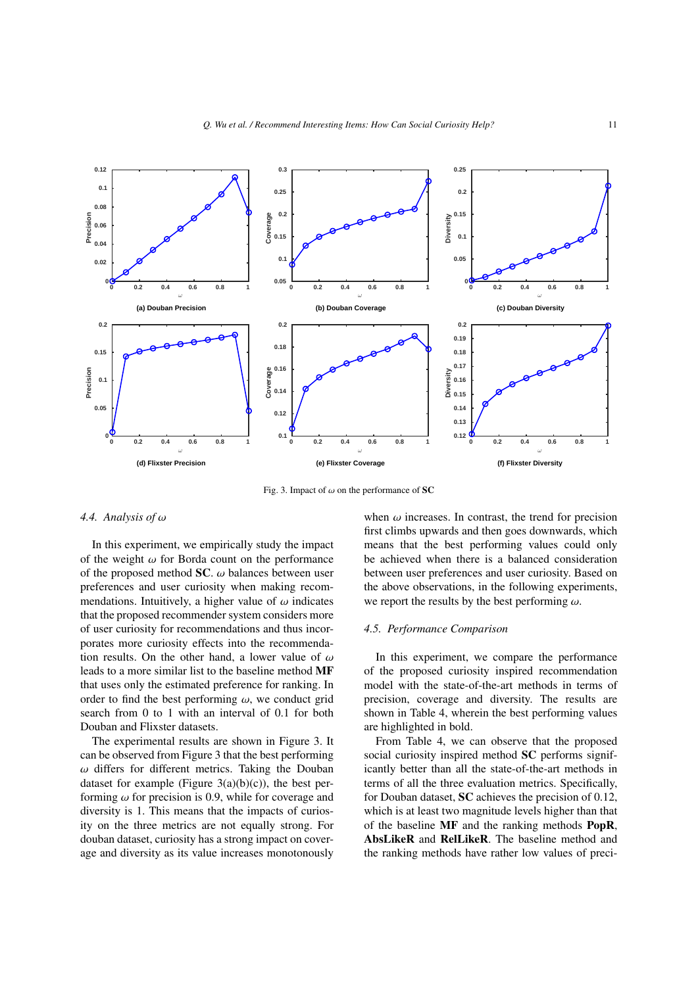

Fig. 3. Impact of  $\omega$  on the performance of SC

#### *4.4. Analysis of* ω

In this experiment, we empirically study the impact of the weight  $\omega$  for Borda count on the performance of the proposed method  $SC$ .  $\omega$  balances between user preferences and user curiosity when making recommendations. Intuitively, a higher value of  $\omega$  indicates that the proposed recommender system considers more of user curiosity for recommendations and thus incorporates more curiosity effects into the recommendation results. On the other hand, a lower value of  $\omega$ leads to a more similar list to the baseline method MF that uses only the estimated preference for ranking. In order to find the best performing  $\omega$ , we conduct grid search from 0 to 1 with an interval of 0.1 for both Douban and Flixster datasets.

The experimental results are shown in Figure 3. It can be observed from Figure 3 that the best performing  $\omega$  differs for different metrics. Taking the Douban dataset for example (Figure  $3(a)(b)(c)$ ), the best performing  $\omega$  for precision is 0.9, while for coverage and diversity is 1. This means that the impacts of curiosity on the three metrics are not equally strong. For douban dataset, curiosity has a strong impact on coverage and diversity as its value increases monotonously when  $\omega$  increases. In contrast, the trend for precision first climbs upwards and then goes downwards, which means that the best performing values could only be achieved when there is a balanced consideration between user preferences and user curiosity. Based on the above observations, in the following experiments, we report the results by the best performing  $\omega$ .

#### *4.5. Performance Comparison*

In this experiment, we compare the performance of the proposed curiosity inspired recommendation model with the state-of-the-art methods in terms of precision, coverage and diversity. The results are shown in Table 4, wherein the best performing values are highlighted in bold.

From Table 4, we can observe that the proposed social curiosity inspired method SC performs significantly better than all the state-of-the-art methods in terms of all the three evaluation metrics. Specifically, for Douban dataset, SC achieves the precision of 0.12, which is at least two magnitude levels higher than that of the baseline MF and the ranking methods PopR, AbsLikeR and RelLikeR. The baseline method and the ranking methods have rather low values of preci-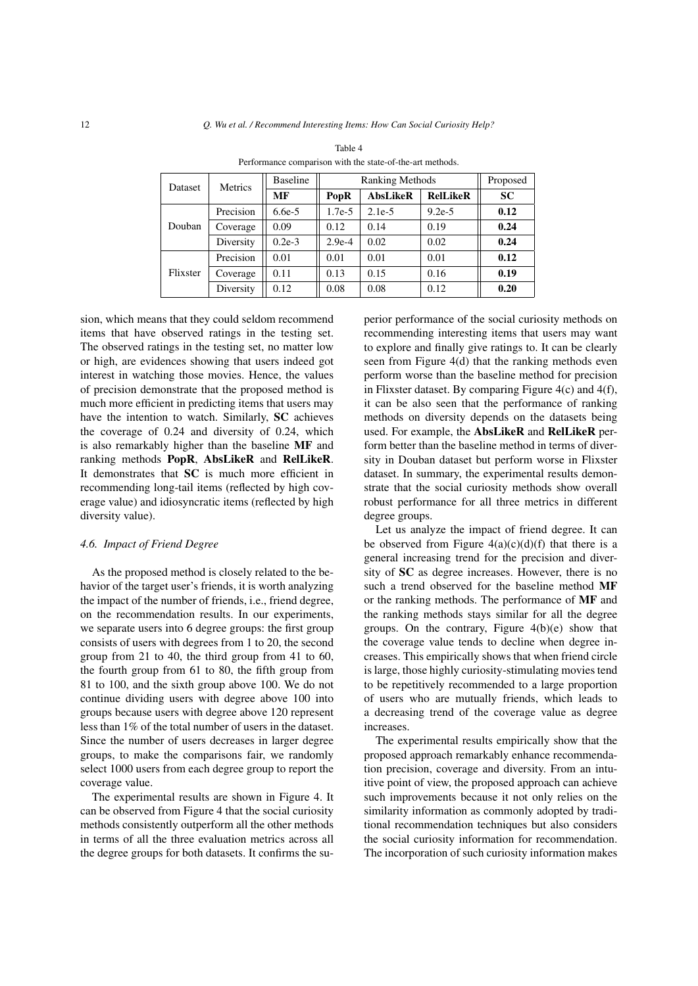| <b>Dataset</b> | <b>Metrics</b> | <b>Baseline</b> |          | Proposed        |                 |           |
|----------------|----------------|-----------------|----------|-----------------|-----------------|-----------|
|                |                | MF              | PopR     | <b>AbsLikeR</b> | <b>RelLikeR</b> | <b>SC</b> |
| Douban         | Precision      | $6.6e-5$        | $1.7e-5$ | $2.1e-5$        | $9.2e-5$        | 0.12      |
|                | Coverage       | 0.09            | 0.12     | 0.14            | 0.19            | 0.24      |
|                | Diversity      | $0.2e-3$        | $2.9e-4$ | 0.02            | 0.02            | 0.24      |
| Flixster       | Precision      | 0.01            | 0.01     | 0.01            | 0.01            | 0.12      |
|                | Coverage       | 0.11            | 0.13     | 0.15            | 0.16            | 0.19      |
|                | Diversity      | 0.12            | 0.08     | 0.08            | 0.12            | 0.20      |

Table 4 Performance comparison with the state-of-the-art methods.

sion, which means that they could seldom recommend items that have observed ratings in the testing set. The observed ratings in the testing set, no matter low or high, are evidences showing that users indeed got interest in watching those movies. Hence, the values of precision demonstrate that the proposed method is much more efficient in predicting items that users may have the intention to watch. Similarly, SC achieves the coverage of 0.24 and diversity of 0.24, which is also remarkably higher than the baseline MF and ranking methods PopR, AbsLikeR and RelLikeR. It demonstrates that SC is much more efficient in recommending long-tail items (reflected by high coverage value) and idiosyncratic items (reflected by high diversity value).

# *4.6. Impact of Friend Degree*

As the proposed method is closely related to the behavior of the target user's friends, it is worth analyzing the impact of the number of friends, i.e., friend degree, on the recommendation results. In our experiments, we separate users into 6 degree groups: the first group consists of users with degrees from 1 to 20, the second group from 21 to 40, the third group from 41 to 60, the fourth group from 61 to 80, the fifth group from 81 to 100, and the sixth group above 100. We do not continue dividing users with degree above 100 into groups because users with degree above 120 represent less than 1% of the total number of users in the dataset. Since the number of users decreases in larger degree groups, to make the comparisons fair, we randomly select 1000 users from each degree group to report the coverage value.

The experimental results are shown in Figure 4. It can be observed from Figure 4 that the social curiosity methods consistently outperform all the other methods in terms of all the three evaluation metrics across all the degree groups for both datasets. It confirms the superior performance of the social curiosity methods on recommending interesting items that users may want to explore and finally give ratings to. It can be clearly seen from Figure 4(d) that the ranking methods even perform worse than the baseline method for precision in Flixster dataset. By comparing Figure 4(c) and 4(f), it can be also seen that the performance of ranking methods on diversity depends on the datasets being used. For example, the AbsLikeR and RelLikeR perform better than the baseline method in terms of diversity in Douban dataset but perform worse in Flixster dataset. In summary, the experimental results demonstrate that the social curiosity methods show overall robust performance for all three metrics in different degree groups.

Let us analyze the impact of friend degree. It can be observed from Figure  $4(a)(c)(d)(f)$  that there is a general increasing trend for the precision and diversity of SC as degree increases. However, there is no such a trend observed for the baseline method MF or the ranking methods. The performance of MF and the ranking methods stays similar for all the degree groups. On the contrary, Figure 4(b)(e) show that the coverage value tends to decline when degree increases. This empirically shows that when friend circle is large, those highly curiosity-stimulating movies tend to be repetitively recommended to a large proportion of users who are mutually friends, which leads to a decreasing trend of the coverage value as degree increases.

The experimental results empirically show that the proposed approach remarkably enhance recommendation precision, coverage and diversity. From an intuitive point of view, the proposed approach can achieve such improvements because it not only relies on the similarity information as commonly adopted by traditional recommendation techniques but also considers the social curiosity information for recommendation. The incorporation of such curiosity information makes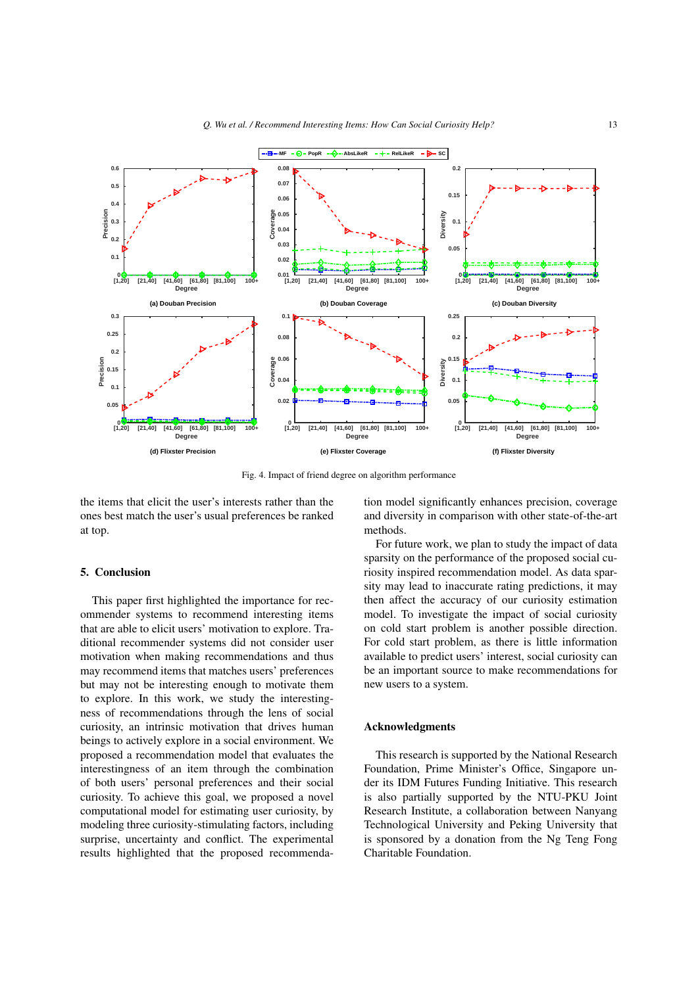

Fig. 4. Impact of friend degree on algorithm performance

the items that elicit the user's interests rather than the ones best match the user's usual preferences be ranked at top.

# 5. Conclusion

This paper first highlighted the importance for recommender systems to recommend interesting items that are able to elicit users' motivation to explore. Traditional recommender systems did not consider user motivation when making recommendations and thus may recommend items that matches users' preferences but may not be interesting enough to motivate them to explore. In this work, we study the interestingness of recommendations through the lens of social curiosity, an intrinsic motivation that drives human beings to actively explore in a social environment. We proposed a recommendation model that evaluates the interestingness of an item through the combination of both users' personal preferences and their social curiosity. To achieve this goal, we proposed a novel computational model for estimating user curiosity, by modeling three curiosity-stimulating factors, including surprise, uncertainty and conflict. The experimental results highlighted that the proposed recommendation model significantly enhances precision, coverage and diversity in comparison with other state-of-the-art methods.

For future work, we plan to study the impact of data sparsity on the performance of the proposed social curiosity inspired recommendation model. As data sparsity may lead to inaccurate rating predictions, it may then affect the accuracy of our curiosity estimation model. To investigate the impact of social curiosity on cold start problem is another possible direction. For cold start problem, as there is little information available to predict users' interest, social curiosity can be an important source to make recommendations for new users to a system.

# Acknowledgments

This research is supported by the National Research Foundation, Prime Minister's Office, Singapore under its IDM Futures Funding Initiative. This research is also partially supported by the NTU-PKU Joint Research Institute, a collaboration between Nanyang Technological University and Peking University that is sponsored by a donation from the Ng Teng Fong Charitable Foundation.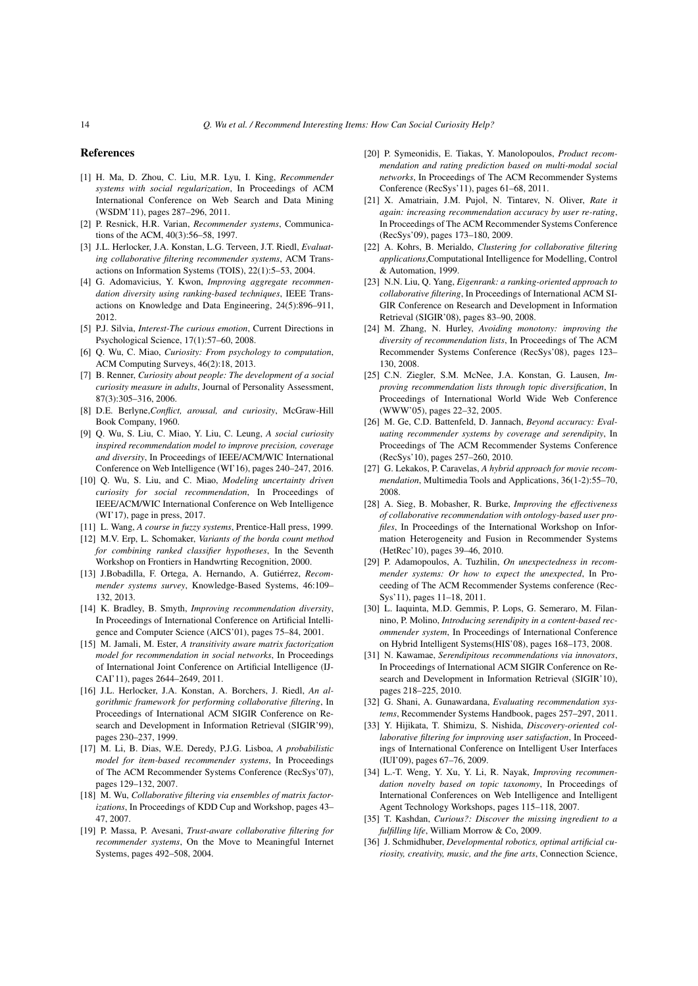# References

- [1] H. Ma, D. Zhou, C. Liu, M.R. Lyu, I. King, *Recommender systems with social regularization*, In Proceedings of ACM International Conference on Web Search and Data Mining (WSDM'11), pages 287–296, 2011.
- [2] P. Resnick, H.R. Varian, *Recommender systems*, Communications of the ACM, 40(3):56–58, 1997.
- [3] J.L. Herlocker, J.A. Konstan, L.G. Terveen, J.T. Riedl, *Evaluating collaborative filtering recommender systems*, ACM Transactions on Information Systems (TOIS), 22(1):5–53, 2004.
- [4] G. Adomavicius, Y. Kwon, *Improving aggregate recommendation diversity using ranking-based techniques*, IEEE Transactions on Knowledge and Data Engineering, 24(5):896–911, 2012.
- [5] P.J. Silvia, *Interest-The curious emotion*, Current Directions in Psychological Science, 17(1):57–60, 2008.
- [6] Q. Wu, C. Miao, *Curiosity: From psychology to computation*, ACM Computing Surveys, 46(2):18, 2013.
- [7] B. Renner, *Curiosity about people: The development of a social curiosity measure in adults*, Journal of Personality Assessment, 87(3):305–316, 2006.
- [8] D.E. Berlyne,*Conflict, arousal, and curiosity*, McGraw-Hill Book Company, 1960.
- [9] Q. Wu, S. Liu, C. Miao, Y. Liu, C. Leung, *A social curiosity inspired recommendation model to improve precision, coverage and diversity*, In Proceedings of IEEE/ACM/WIC International Conference on Web Intelligence (WI'16), pages 240–247, 2016.
- [10] Q. Wu, S. Liu, and C. Miao, *Modeling uncertainty driven curiosity for social recommendation*, In Proceedings of IEEE/ACM/WIC International Conference on Web Intelligence (WI'17), page in press, 2017.
- [11] L. Wang, *A course in fuzzy systems*, Prentice-Hall press, 1999.
- [12] M.V. Erp, L. Schomaker, *Variants of the borda count method for combining ranked classifier hypotheses*, In the Seventh Workshop on Frontiers in Handwrting Recognition, 2000.
- [13] J.Bobadilla, F. Ortega, A. Hernando, A. Gutiérrez, *Recommender systems survey*, Knowledge-Based Systems, 46:109– 132, 2013.
- [14] K. Bradley, B. Smyth, *Improving recommendation diversity*, In Proceedings of International Conference on Artificial Intelligence and Computer Science (AICS'01), pages 75–84, 2001.
- [15] M. Jamali, M. Ester, *A transitivity aware matrix factorization model for recommendation in social networks*, In Proceedings of International Joint Conference on Artificial Intelligence (IJ-CAI'11), pages 2644–2649, 2011.
- [16] J.L. Herlocker, J.A. Konstan, A. Borchers, J. Riedl, *An algorithmic framework for performing collaborative filtering*, In Proceedings of International ACM SIGIR Conference on Research and Development in Information Retrieval (SIGIR'99), pages 230–237, 1999.
- [17] M. Li, B. Dias, W.E. Deredy, P.J.G. Lisboa, *A probabilistic model for item-based recommender systems*, In Proceedings of The ACM Recommender Systems Conference (RecSys'07), pages 129–132, 2007.
- [18] M. Wu, *Collaborative filtering via ensembles of matrix factorizations*, In Proceedings of KDD Cup and Workshop, pages 43– 47, 2007.
- [19] P. Massa, P. Avesani, *Trust-aware collaborative filtering for recommender systems*, On the Move to Meaningful Internet Systems, pages 492–508, 2004.
- [20] P. Symeonidis, E. Tiakas, Y. Manolopoulos, *Product recommendation and rating prediction based on multi-modal social networks*, In Proceedings of The ACM Recommender Systems Conference (RecSys'11), pages 61–68, 2011.
- [21] X. Amatriain, J.M. Pujol, N. Tintarev, N. Oliver, *Rate it again: increasing recommendation accuracy by user re-rating*, In Proceedings of The ACM Recommender Systems Conference (RecSys'09), pages 173–180, 2009.
- [22] A. Kohrs, B. Merialdo, *Clustering for collaborative filtering applications*,Computational Intelligence for Modelling, Control & Automation, 1999.
- [23] N.N. Liu, Q. Yang, *Eigenrank: a ranking-oriented approach to collaborative filtering*, In Proceedings of International ACM SI-GIR Conference on Research and Development in Information Retrieval (SIGIR'08), pages 83–90, 2008.
- [24] M. Zhang, N. Hurley, *Avoiding monotony: improving the diversity of recommendation lists*, In Proceedings of The ACM Recommender Systems Conference (RecSys'08), pages 123– 130, 2008.
- [25] C.N. Ziegler, S.M. McNee, J.A. Konstan, G. Lausen, *Improving recommendation lists through topic diversification*, In Proceedings of International World Wide Web Conference (WWW'05), pages 22–32, 2005.
- [26] M. Ge, C.D. Battenfeld, D. Jannach, *Beyond accuracy: Evaluating recommender systems by coverage and serendipity*, In Proceedings of The ACM Recommender Systems Conference (RecSys'10), pages 257–260, 2010.
- [27] G. Lekakos, P. Caravelas, *A hybrid approach for movie recommendation*, Multimedia Tools and Applications, 36(1-2):55–70, 2008.
- [28] A. Sieg, B. Mobasher, R. Burke, *Improving the effectiveness of collaborative recommendation with ontology-based user profiles*, In Proceedings of the International Workshop on Information Heterogeneity and Fusion in Recommender Systems (HetRec'10), pages 39–46, 2010.
- [29] P. Adamopoulos, A. Tuzhilin, *On unexpectedness in recommender systems: Or how to expect the unexpected*, In Proceeding of The ACM Recommender Systems conference (Rec-Sys'11), pages 11–18, 2011.
- [30] L. Iaquinta, M.D. Gemmis, P. Lops, G. Semeraro, M. Filannino, P. Molino, *Introducing serendipity in a content-based recommender system*, In Proceedings of International Conference on Hybrid Intelligent Systems(HIS'08), pages 168–173, 2008.
- [31] N. Kawamae, *Serendipitous recommendations via innovators*, In Proceedings of International ACM SIGIR Conference on Research and Development in Information Retrieval (SIGIR'10), pages 218–225, 2010.
- [32] G. Shani, A. Gunawardana, *Evaluating recommendation systems*, Recommender Systems Handbook, pages 257–297, 2011.
- [33] Y. Hijikata, T. Shimizu, S. Nishida, *Discovery-oriented collaborative filtering for improving user satisfaction*, In Proceedings of International Conference on Intelligent User Interfaces (IUI'09), pages 67–76, 2009.
- [34] L.-T. Weng, Y. Xu, Y. Li, R. Nayak, *Improving recommendation novelty based on topic taxonomy*, In Proceedings of International Conferences on Web Intelligence and Intelligent Agent Technology Workshops, pages 115–118, 2007.
- [35] T. Kashdan, *Curious?: Discover the missing ingredient to a fulfilling life*, William Morrow & Co, 2009.
- [36] J. Schmidhuber, *Developmental robotics, optimal artificial curiosity, creativity, music, and the fine arts*, Connection Science,